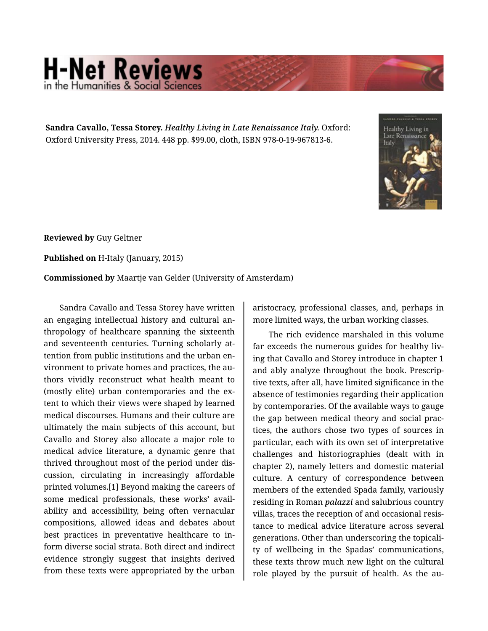## **H-Net Reviews** in the Humanities & Social S

**Sandra Cavallo, Tessa Storey.** *Healthy Living in Late Renaissance Italy.* Oxford: Oxford University Press, 2014. 448 pp. \$99.00, cloth, ISBN 978-0-19-967813-6.



**Reviewed by** Guy Geltner

**Published on** H-Italy (January, 2015)

**Commissioned by** Maartje van Gelder (University of Amsterdam)

Sandra Cavallo and Tessa Storey have written an engaging intellectual history and cultural an‐ thropology of healthcare spanning the sixteenth and seventeenth centuries. Turning scholarly at‐ tention from public institutions and the urban en‐ vironment to private homes and practices, the au‐ thors vividly reconstruct what health meant to (mostly elite) urban contemporaries and the ex‐ tent to which their views were shaped by learned medical discourses. Humans and their culture are ultimately the main subjects of this account, but Cavallo and Storey also allocate a major role to medical advice literature, a dynamic genre that thrived throughout most of the period under dis‐ cussion, circulating in increasingly affordable printed volumes.[1] Beyond making the careers of some medical professionals, these works' avail‐ ability and accessibility, being often vernacular compositions, allowed ideas and debates about best practices in preventative healthcare to in‐ form diverse social strata. Both direct and indirect evidence strongly suggest that insights derived from these texts were appropriated by the urban

aristocracy, professional classes, and, perhaps in more limited ways, the urban working classes.

The rich evidence marshaled in this volume far exceeds the numerous guides for healthy living that Cavallo and Storey introduce in chapter 1 and ably analyze throughout the book. Prescrip‐ tive texts, after all, have limited significance in the absence of testimonies regarding their application by contemporaries. Of the available ways to gauge the gap between medical theory and social prac‐ tices, the authors chose two types of sources in particular, each with its own set of interpretative challenges and historiographies (dealt with in chapter 2), namely letters and domestic material culture. A century of correspondence between members of the extended Spada family, variously residing in Roman *palazzi* and salubrious country villas, traces the reception of and occasional resis‐ tance to medical advice literature across several generations. Other than underscoring the topicali‐ ty of wellbeing in the Spadas' communications, these texts throw much new light on the cultural role played by the pursuit of health. As the au‐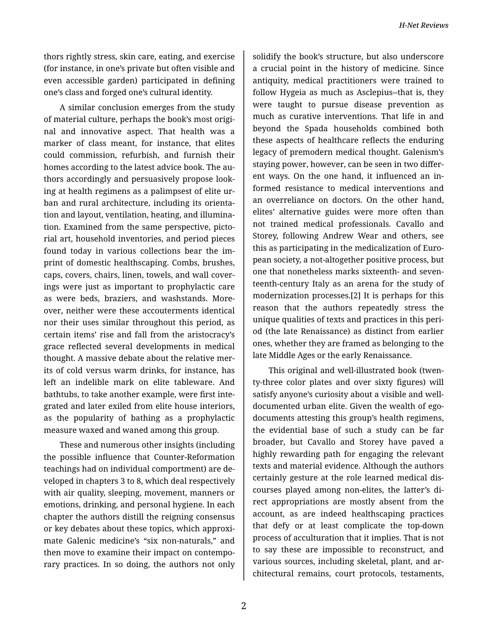thors rightly stress, skin care, eating, and exercise (for instance, in one's private but often visible and even accessible garden) participated in defining one's class and forged one's cultural identity.

A similar conclusion emerges from the study of material culture, perhaps the book's most origi‐ nal and innovative aspect. That health was a marker of class meant, for instance, that elites could commission, refurbish, and furnish their homes according to the latest advice book. The authors accordingly and persuasively propose look‐ ing at health regimens as a palimpsest of elite ur‐ ban and rural architecture, including its orienta‐ tion and layout, ventilation, heating, and illumina‐ tion. Examined from the same perspective, picto‐ rial art, household inventories, and period pieces found today in various collections bear the im‐ print of domestic healthscaping. Combs, brushes, caps, covers, chairs, linen, towels, and wall cover‐ ings were just as important to prophylactic care as were beds, braziers, and washstands. More‐ over, neither were these accouterments identical nor their uses similar throughout this period, as certain items' rise and fall from the aristocracy's grace reflected several developments in medical thought. A massive debate about the relative mer‐ its of cold versus warm drinks, for instance, has left an indelible mark on elite tableware. And bathtubs, to take another example, were first inte‐ grated and later exiled from elite house interiors, as the popularity of bathing as a prophylactic measure waxed and waned among this group.

These and numerous other insights (including the possible influence that Counter-Reformation teachings had on individual comportment) are de‐ veloped in chapters 3 to 8, which deal respectively with air quality, sleeping, movement, manners or emotions, drinking, and personal hygiene. In each chapter the authors distill the reigning consensus or key debates about these topics, which approxi‐ mate Galenic medicine's "six non-naturals," and then move to examine their impact on contempo‐ rary practices. In so doing, the authors not only

solidify the book's structure, but also underscore a crucial point in the history of medicine. Since antiquity, medical practitioners were trained to follow Hygeia as much as Asclepius--that is, they were taught to pursue disease prevention as much as curative interventions. That life in and beyond the Spada households combined both these aspects of healthcare reflects the enduring legacy of premodern medical thought. Galenism's staying power, however, can be seen in two differ‐ ent ways. On the one hand, it influenced an in‐ formed resistance to medical interventions and an overreliance on doctors. On the other hand, elites' alternative guides were more often than not trained medical professionals. Cavallo and Storey, following Andrew Wear and others, see this as participating in the medicalization of Euro‐ pean society, a not-altogether positive process, but one that nonetheless marks sixteenth- and seven‐ teenth-century Italy as an arena for the study of modernization processes.[2] It is perhaps for this reason that the authors repeatedly stress the unique qualities of texts and practices in this peri‐ od (the late Renaissance) as distinct from earlier ones, whether they are framed as belonging to the late Middle Ages or the early Renaissance.

This original and well-illustrated book (twen‐ ty-three color plates and over sixty figures) will satisfy anyone's curiosity about a visible and welldocumented urban elite. Given the wealth of egodocuments attesting this group's health regimens, the evidential base of such a study can be far broader, but Cavallo and Storey have paved a highly rewarding path for engaging the relevant texts and material evidence. Although the authors certainly gesture at the role learned medical dis‐ courses played among non-elites, the latter's di‐ rect appropriations are mostly absent from the account, as are indeed healthscaping practices that defy or at least complicate the top-down process of acculturation that it implies. That is not to say these are impossible to reconstruct, and various sources, including skeletal, plant, and ar‐ chitectural remains, court protocols, testaments,